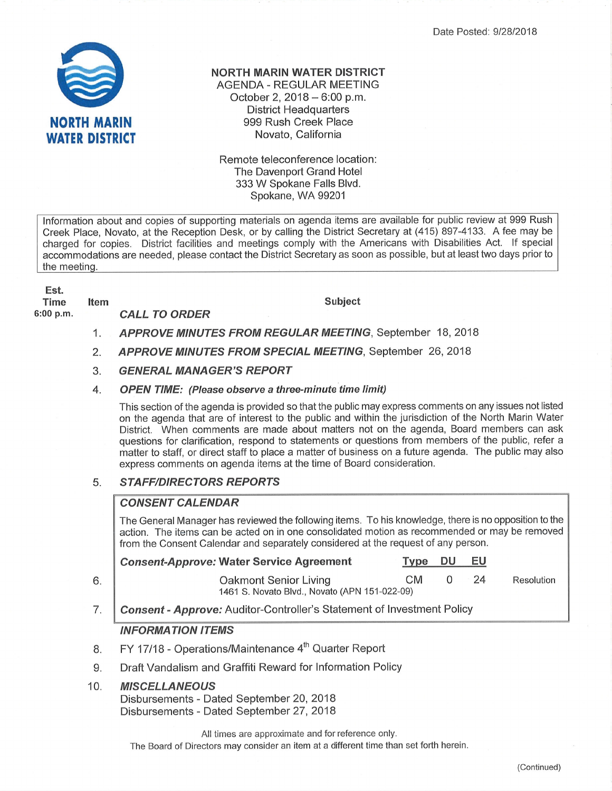Date Posted: 9/28/2018



### NORTH MARIN WATER DISTRICT

AGENDA - REGULAR MEETING October 2,  $2018 - 6:00$  p.m. District Headquarters 999 Rush Creek Place Novato, California

Remote teleconference location The Davenport Grand Hotel 333 W Spokane Falls Blvd. Spokane, WA <sup>99201</sup>

lnformation about and copies of supporting materials on agenda items are available for public review at 999 Rus h Creek Place, Novato, at the Reception Desk, or by calling the District Secretary at (415) 897-4133. A fee may be charged for copies. District facilities and meetings comply with the Americans with Disabilities Act. lf special accommodations are needed, please contact the District Secretary as soon as possible, but at least two days prior to the meeting.

## Est. Time

6:00 p.m

#### tem Subject CALL TO ORDER

1. APPROVE MINUTES FROM REGULAR MEETING, September 18, 2018

- 2. APPROVE MINUTES FROM SPECIAL MEETING, September 26, 2018
- 3. GENERAL MANAGER'S REPORT

#### 4. OPEN TIME: (Please observe a three-minute time limit)

This section of the agenda is provided so that the public may express comments on any issues not listed on the agenda that are of interest to the public and within the jurisdiction of the North Marin Water District. When comments are made about matters not on the agenda, Board members can ask questions for clarification, respond to statements or questions from members of the public, refer a matter to staff, or direct staff to place a matter of business on a future agenda. The public may also express comments on agenda items at the time of Board consideration.

#### **STAFF/DIRECTORS REPORTS** 5.

#### **CONSENT CALENDAR**

The General Manager has reviewed the following items. To his knowledge, there is no opposition to the action. The items can be acted on in one consolidated motion as recommended or may be removed from the Consent Calendar and separately considered at the request of any person.

| Consent-Approve: Water Service Agreement                               | Type      | <b>DU</b> | EU    |            |
|------------------------------------------------------------------------|-----------|-----------|-------|------------|
| Oakmont Senior Living<br>1461 S. Novato Blvd., Novato (APN 151-022-09) | <b>CM</b> |           | $-24$ | Resolution |

Consent - Approve: Auditor-Controller's Statement of Investment Policy 7

## INFORMATION ITEMS

- FY 17/18 Operations/Maintenance 4<sup>th</sup> Quarter Report 8.
- $9.$ Draft Vandalism and Graffiti Reward for lnformation Policy

#### **MISCELLANEOUS** 10

 $6.$ 

Disbursements - Dated September 20,2018 Disbursements - Dated September 27,2018

All times are approximate and for reference only.

The Board of Directors may consider an item at a different time than set forth herein